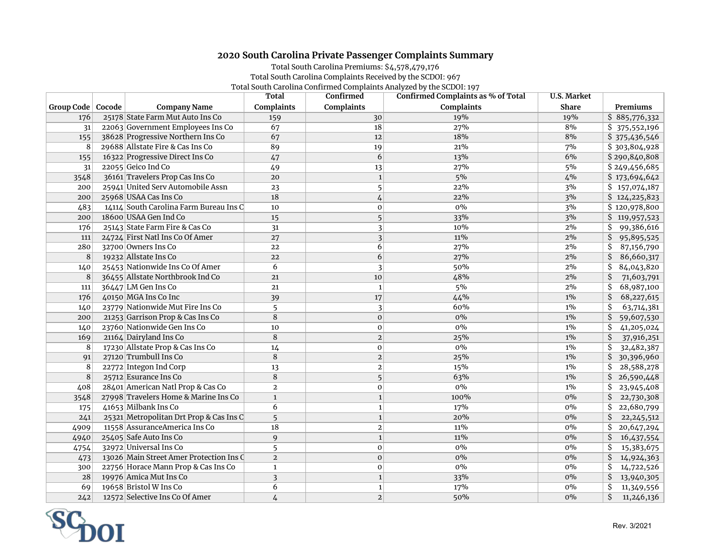## **2020 South Carolina Private Passenger Complaints Summary**

## Total South Carolina Premiums: \$4,578,479,176 Total South Carolina Complaints Received by the SCDOI: 967 Total South Carolina Confirmed Complaints Analyzed by the SCDOI: 197

|                     |                                         | <b>Total</b>   | Confirmed      | Confirmed Complaints as % of Total | <b>U.S. Market</b> |                    |
|---------------------|-----------------------------------------|----------------|----------------|------------------------------------|--------------------|--------------------|
| Group Code   Cocode | <b>Company Name</b>                     | Complaints     | Complaints     | Complaints                         | <b>Share</b>       | Premiums           |
| 176                 | 25178 State Farm Mut Auto Ins Co        | 159            | 30             | 19%                                | 19%                | \$885,776,332      |
| 31                  | 22063 Government Employees Ins Co       | 67             | 18             | 27%                                | 8%                 | \$ 375,552,196     |
| 155                 | 38628 Progressive Northern Ins Co       | 67             | 12             | 18%                                | $8%$               | \$375,436,546      |
| 8                   | 29688 Allstate Fire & Cas Ins Co        | 89             | 19             | 21%                                | 7%                 | \$303,804,928      |
| 155                 | 16322 Progressive Direct Ins Co         | 47             | 6              | 13%                                | 6%                 | \$290,840,808      |
| 31                  | 22055 Geico Ind Co                      | 49             | 13             | 27%                                | 5%                 | \$249,456,685      |
| 3548                | 36161 Travelers Prop Cas Ins Co         | $20\,$         | $\mathbf{1}$   | 5%                                 | 4%                 | \$173,694,642      |
| 200                 | 25941 United Serv Automobile Assn       | 23             | 5              | 22%                                | 3%                 | \$157,074,187      |
| 200                 | 25968 USAA Cas Ins Co                   | 18             | $\sqrt{4}$     | 22%                                | 3%                 | \$124,225,823      |
| 483                 | 14114 South Carolina Farm Bureau Ins C  | 10             | $\mathbf 0$    | $0\%$                              | 3%                 | \$120,978,800      |
| 200                 | 18600 USAA Gen Ind Co                   | 15             | 5              | 33%                                | 3%                 | \$119,957,523      |
| 176                 | 25143 State Farm Fire & Cas Co          | 31             | 3              | 10%                                | 2%                 | 99,386,616<br>Ŝ.   |
| 111                 | 24724 First Natl Ins Co Of Amer         | 27             | 3              | 11%                                | 2%                 | \$<br>95,895,525   |
| 280                 | 32700 Owners Ins Co                     | 22             | 6              | 27%                                | $2\%$              | \$<br>87,156,790   |
| $\overline{\bf 8}$  | 19232 Allstate Ins Co                   | 22             | $\overline{6}$ | 27%                                | $2\%$              | \$<br>86,660,317   |
| 140                 | 25453 Nationwide Ins Co Of Amer         | 6              | 3              | 50%                                | $2\%$              | \$<br>84,043,820   |
| 8                   | 36455 Allstate Northbrook Ind Co        | 21             | 10             | 48%                                | 2%                 | \$<br>71,603,791   |
| 111                 | $36447$ LM Gen Ins Co                   | 21             | $\mathbf{1}$   | 5%                                 | 2%                 | \$<br>68,987,100   |
| 176                 | 40150 MGA Ins Co Inc                    | 39             | 17             | 44%                                | $1\%$              | \$<br>68,227,615   |
| 140                 | 23779 Nationwide Mut Fire Ins Co        | 5              | 3              | 60%                                | $1\%$              | \$<br>63,714,381   |
| 200                 | 21253 Garrison Prop & Cas Ins Co        | 8              | $\mathbf 0$    | $0\%$                              | $1\%$              | \$<br>59,607,530   |
| 140                 | 23760 Nationwide Gen Ins Co             | 10             | $\mathbf 0$    | 0%                                 | $1\%$              | Ś<br>41,205,024    |
| 169                 | 21164 Dairyland Ins Co                  | $\bf 8$        | $\mathbf 2$    | 25%                                | $1\%$              | 37,916,251<br>\$   |
| 8                   | 17230 Allstate Prop & Cas Ins Co        | 14             | $\mathbf 0$    | $0\%$                              | $1\%$              | \$<br>32,482,387   |
| 91                  | 27120 Trumbull Ins Co                   | $\,8\,$        | $\overline{c}$ | 25%                                | $1\%$              | \$<br>30,396,960   |
| 8                   | 22772 Integon Ind Corp                  | 13             | $\overline{a}$ | 15%                                | $1\%$              | 28,588,278<br>\$   |
| $\,8\,$             | 25712 Esurance Ins Co                   | $\bf 8$        | 5              | 63%                                | $1\%$              | \$<br>26,590,448   |
| 408                 | 28401 American Natl Prop & Cas Co       | $\mathbf{2}$   | $\mathbf 0$    | $0\%$                              | $1\%$              | \$<br>23,945,408   |
| 3548                | 27998 Travelers Home & Marine Ins Co    | $\mathbf{1}$   | $\mathbf 1$    | 100%                               | $0\%$              | \$<br>22,730,308   |
| 175                 | 41653 Milbank Ins Co                    | 6              | $\mathbf 1$    | 17%                                | $0\%$              | 22,680,799<br>\$   |
| 241                 | 25321 Metropolitan Drt Prop & Cas Ins C | 5              | $\mathbf 1$    | 20%                                | $0\%$              | \$<br>22, 245, 512 |
| 4909                | 11558 Assurance America Ins Co          | 18             | $\overline{a}$ | 11%                                | $0\%$              | \$<br>20,647,294   |
| 4940                | 25405 Safe Auto Ins Co                  | 9              | $\mathbf 1$    | 11%                                | $0\%$              | \$<br>16,437,554   |
| 4754                | 32972 Universal Ins Co                  | 5              | $\mathbf 0$    | $0\%$                              | $0\%$              | \$<br>15,383,675   |
| 473                 | 13026 Main Street Amer Protection Ins C | $\overline{2}$ | $\mathbf 0$    | $0\%$                              | $0\%$              | \$<br>14,924,363   |
| 300                 | 22756 Horace Mann Prop & Cas Ins Co     | $\mathbf{1}$   | $\mathbf 0$    | $0\%$                              | $0\%$              | \$<br>14,722,526   |
| 28                  | 19976 Amica Mut Ins Co                  | 3              | $\mathbf 1$    | 33%                                | $0\%$              | \$<br>13,940,305   |
| 69                  | 19658 Bristol W Ins Co                  | 6              | $\mathbf 1$    | 17%                                | $0\%$              | \$<br>11,349,556   |
| 242                 | 12572 Selective Ins Co Of Amer          | $\overline{4}$ | $\overline{2}$ | 50%                                | $0\%$              | \$<br>11,246,136   |

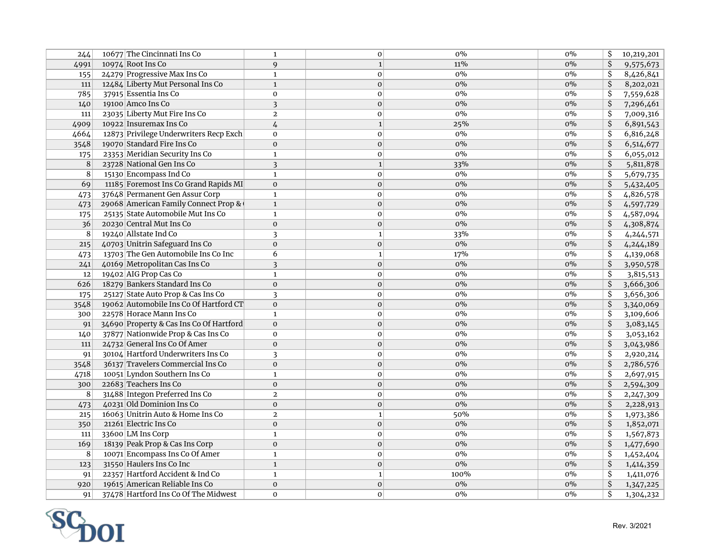| 244  | 10677 The Cincinnati Ins Co             | $\mathbf{1}$            | $\mathbf 0$  | $0\%$            | $0\%$ | \$                       | 10,219,201 |
|------|-----------------------------------------|-------------------------|--------------|------------------|-------|--------------------------|------------|
| 4991 | 10974 Root Ins Co                       | $\mathbf{q}$            | $\mathbf{1}$ | 11%              | $0\%$ | \$                       | 9,575,673  |
| 155  | 24279 Progressive Max Ins Co            | $\mathbf{1}$            | $\mathbf 0$  | $0\%$            | $0\%$ | $\overline{\mathsf{S}}$  | 8,426,841  |
| 111  | 12484 Liberty Mut Personal Ins Co       | $\mathbf{1}$            | $\mathbf 0$  | $0\%$            | $0\%$ | \$                       | 8,202,021  |
| 785  | 37915 Essentia Ins Co                   | $\mathbf 0$             | $\mathbf 0$  | 0%               | $0\%$ | $\overline{\mathsf{S}}$  | 7,559,628  |
| 140  | 19100 Amco Ins Co                       | 3                       | $\mathbf 0$  | $0\%$            | $0\%$ | \$                       | 7,296,461  |
| 111  | 23035 Liberty Mut Fire Ins Co           | $\overline{2}$          | $\mathbf 0$  | $\overline{0\%}$ | $0\%$ | \$                       | 7,009,316  |
| 4909 | 10922 Insuremax Ins Co                  | $\overline{4}$          | $\mathbf{1}$ | 25%              | $0\%$ | $\overline{\mathsf{S}}$  | 6,891,543  |
| 4664 | 12873 Privilege Underwriters Recp Exch  | $\mathbf 0$             | $\mathbf 0$  | $0\%$            | $0\%$ | $\overline{\mathsf{S}}$  | 6,816,248  |
| 3548 | 19070 Standard Fire Ins Co              | $\mathbf{O}$            | $\mathbf 0$  | $0\%$            | $0\%$ | $\overline{\mathsf{S}}$  | 6,514,677  |
| 175  | 23353 Meridian Security Ins Co          | $\mathbf{1}$            | $\mathbf 0$  | $0\%$            | $0\%$ | $\overline{\mathsf{s}}$  | 6,055,012  |
| 8    | 23728 National Gen Ins Co               | $\overline{\mathbf{3}}$ | $\mathbf 1$  | 33%              | $0\%$ | \$                       | 5,811,878  |
| 8    | 15130 Encompass Ind Co                  | $\mathbf{1}$            | $\mathbf 0$  | $0\%$            | 0%    | \$                       | 5,679,735  |
| 69   | 11185 Foremost Ins Co Grand Rapids MI   | $\mathbf{0}$            | $\mathbf{0}$ | $0\%$            | $0\%$ | \$                       | 5,432,405  |
| 473  | 37648 Permanent Gen Assur Corp          | $\mathbf{1}$            | $\mathbf{0}$ | $0\%$            | $0\%$ | $\overline{\mathsf{S}}$  | 4,826,578  |
| 473  | 29068 American Family Connect Prop &    | $\mathbf{1}$            | $\mathbf{O}$ | $0\%$            | 0%    | $\overline{\mathsf{S}}$  | 4,597,729  |
| 175  | 25135 State Automobile Mut Ins Co       | $\mathbf{1}$            | $\mathbf 0$  | $0\%$            | $0\%$ | $\overline{\mathcal{S}}$ | 4,587,094  |
| 36   | 20230 Central Mut Ins Co                | $\mathbf 0$             | $\mathbf 0$  | $0\%$            | $0\%$ | \$                       | 4,308,874  |
| 8    | 19240 Allstate Ind Co                   | 3                       | $\mathbf{1}$ | 33%              | 0%    | $\overline{\mathsf{S}}$  | 4,244,571  |
| 215  | 40703 Unitrin Safeguard Ins Co          | $\mathbf{0}$            | $\mathbf 0$  | $0\%$            | $0\%$ | $\overline{\mathcal{S}}$ | 4,244,189  |
| 473  | 13703 The Gen Automobile Ins Co Inc     | 6                       | $\mathbf 1$  | 17%              | $0\%$ | \$                       | 4,139,068  |
| 241  | 40169 Metropolitan Cas Ins Co           | $\overline{\mathbf{3}}$ | $\mathbf 0$  | $0\%$            | 0%    | $\overline{\mathsf{S}}$  | 3,950,578  |
| 12   | 19402 AIG Prop Cas Co                   | $\mathbf{1}$            | $\mathbf{0}$ | 0%               | $0\%$ | $\overline{\mathcal{S}}$ | 3,815,513  |
| 626  | 18279 Bankers Standard Ins Co           | $\mathbf{0}$            | $\mathbf 0$  | $0\%$            | $0\%$ | \$                       | 3,666,306  |
| 175  | 25127 State Auto Prop & Cas Ins Co      | $\overline{\mathbf{3}}$ | $\mathbf 0$  | $0\%$            | 0%    | $\overline{\mathcal{S}}$ | 3,656,306  |
| 3548 | 19062 Automobile Ins Co Of Hartford CT  | $\mathbf{0}$            | $\mathbf 0$  | $0\%$            | $0\%$ | \$                       | 3,340,069  |
| 300  | 22578 Horace Mann Ins Co                | $\mathbf{1}$            | $\mathbf 0$  | $0\%$            | $0\%$ | $\overline{\mathsf{S}}$  | 3,109,606  |
| 91   | 34690 Property & Cas Ins Co Of Hartford | $\mathbf{O}$            | $\mathbf 0$  | $0\%$            | $0\%$ | $\overline{\mathcal{S}}$ | 3,083,145  |
| 140  | 37877 Nationwide Prop & Cas Ins Co      | $\mathbf 0$             | $\mathbf 0$  | $0\%$            | $0\%$ | \$                       | 3,053,162  |
| 111  | 24732 General Ins Co Of Amer            | $\mathbf{0}$            | $\mathbf 0$  | $0\%$            | $0\%$ | \$                       | 3,043,986  |
| 91   | 30104 Hartford Underwriters Ins Co      | $\overline{\mathbf{3}}$ | $\mathbf{0}$ | $0\%$            | 0%    | $\overline{\mathsf{S}}$  | 2,920,214  |
| 3548 | 36137 Travelers Commercial Ins Co       | $\mathbf{0}$            | $\mathbf{0}$ | $0\%$            | $0\%$ | \$                       | 2,786,576  |
| 4718 | 10051 Lyndon Southern Ins Co            | $\mathbf{1}$            | $\mathbf 0$  | $0\%$            | $0\%$ | $\overline{\mathsf{S}}$  | 2,697,915  |
| 300  | 22683 Teachers Ins Co                   | $\mathbf{O}$            | $\mathbf 0$  | $0\%$            | $0\%$ | \$                       | 2,594,309  |
| 8    | 31488 Integon Preferred Ins Co          | $\overline{2}$          | $\mathbf 0$  | $0\%$            | $0\%$ | \$                       | 2,247,309  |
| 473  | 40231 Old Dominion Ins Co               | $\mathbf{0}$            | $\mathbf 0$  | 0%               | $0\%$ | $\overline{\mathsf{S}}$  | 2,228,913  |
| 215  | 16063 Unitrin Auto & Home Ins Co        | $\overline{2}$          | $\mathbf{1}$ | 50%              | 0%    | \$                       | 1,973,386  |
| 350  | 21261 Electric Ins Co                   | $\mathbf 0$             | $\mathbf 0$  | $0\%$            | $0\%$ | $\overline{\mathsf{S}}$  | 1,852,071  |
| 111  | 33600 LM Ins Corp                       | $\mathbf{1}$            | $\mathbf 0$  | $0\%$            | $0\%$ | \$                       | 1,567,873  |
| 169  | 18139 Peak Prop & Cas Ins Corp          | $\Omega$                | $\mathbf{0}$ | $0\%$            | $0\%$ | $\overline{\mathsf{S}}$  | 1,477,690  |
| 8    | 10071 Encompass Ins Co Of Amer          | $\mathbf{1}$            | $\mathbf 0$  | $0\%$            | 0%    | \$                       | 1,452,404  |
| 123  | 31550 Haulers Ins Co Inc                | $\mathbf{1}$            | $\mathbf 0$  | $0\%$            | $0\%$ | \$                       | 1,414,359  |
| 91   | 22357 Hartford Accident & Ind Co        | $\mathbf{1}$            | $\mathbf 1$  | 100%             | 0%    | $\overline{\mathsf{S}}$  | 1,411,076  |
| 920  | 19615 American Reliable Ins Co          | $\mathbf{0}$            | $\mathbf 0$  | $0\%$            | 0%    | $\overline{\mathsf{S}}$  | 1,347,225  |
| 91   | 37478 Hartford Ins Co Of The Midwest    | $\mathbf{O}$            | $\mathbf 0$  | $0\%$            | 0%    | $\overline{\mathsf{s}}$  | 1,304,232  |

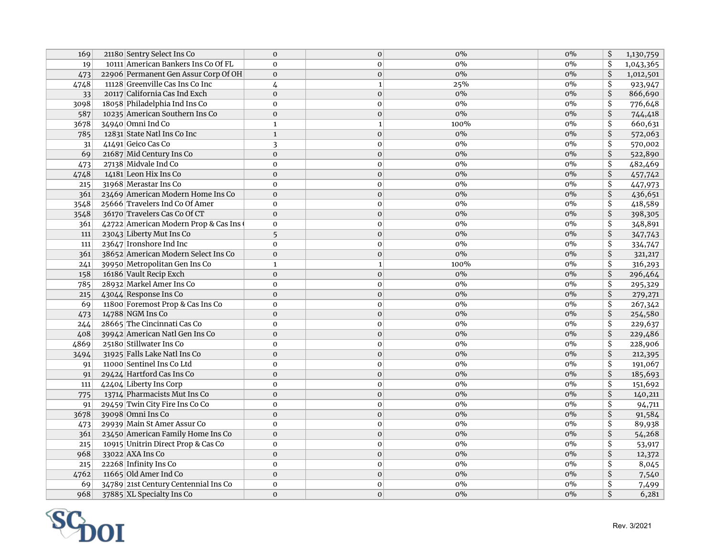| 169  | 21180 Sentry Select Ins Co           | $\mathbf{0}$   | $\mathbf{O}$ | $0\%$ | $0\%$ | \$                                   | 1,130,759 |
|------|--------------------------------------|----------------|--------------|-------|-------|--------------------------------------|-----------|
| 19   | 10111 American Bankers Ins Co Of FL  | $\mathbf{O}$   | $\mathbf 0$  | $0\%$ | $0\%$ | $\overline{\mathsf{s}}$              | 1,043,365 |
| 473  | 22906 Permanent Gen Assur Corp Of OH | $\mathbf{0}$   | $\mathbf 0$  | $0\%$ | $0\%$ | $\overline{\mathsf{S}}$              | 1,012,501 |
| 4748 | 11128 Greenville Cas Ins Co Inc      | 4              | $\mathbf{1}$ | 25%   | $0\%$ | $\overline{\boldsymbol{\mathsf{S}}}$ | 923,947   |
| 33   | 20117 California Cas Ind Exch        | $\mathbf{0}$   | $\mathbf 0$  | $0\%$ | $0\%$ | $\overline{\mathsf{S}}$              | 866,690   |
| 3098 | 18058 Philadelphia Ind Ins Co        | $\mathbf 0$    | $\mathbf 0$  | $0\%$ | $0\%$ | \$                                   | 776,648   |
| 587  | 10235 American Southern Ins Co       | $\mathbf{0}$   | $\mathbf 0$  | $0\%$ | $0\%$ | $\overline{\mathsf{S}}$              | 744,418   |
| 3678 | 34940 Omni Ind Co                    | $\mathbf{1}$   | $\mathbf{1}$ | 100%  | $0\%$ | $\overline{\mathsf{S}}$              | 660,631   |
| 785  | 12831 State Natl Ins Co Inc          | $\mathbf{1}$   | $\mathbf 0$  | $0\%$ | $0\%$ | $\overline{\mathsf{S}}$              | 572,063   |
| 31   | 41491 Geico Cas Co                   | $\overline{3}$ | $\mathbf 0$  | $0\%$ | $0\%$ | \$                                   | 570,002   |
| 69   | 21687 Mid Century Ins Co             | $\mathbf{0}$   | $\mathbf 0$  | $0\%$ | $0\%$ | $\overline{\mathsf{S}}$              | 522,890   |
| 473  | 27138 Midvale Ind Co                 | $\mathbf{0}$   | $\mathbf 0$  | $0\%$ | $0\%$ | \$                                   | 482,469   |
| 4748 | 14181 Leon Hix Ins Co                | $\mathbf{0}$   | $\mathbf{0}$ | $0\%$ | $0\%$ | $\overline{\mathsf{S}}$              | 457,742   |
| 215  | 31968 Merastar Ins Co                | 0              | $\mathbf 0$  | $0\%$ | $0\%$ | \$                                   | 447,973   |
| 361  | 23469 American Modern Home Ins Co    | $\mathbf 0$    | $\mathbf 0$  | $0\%$ | $0\%$ | $\overline{\mathsf{S}}$              | 436,651   |
| 3548 | 25666 Travelers Ind Co Of Amer       | $\mathbf 0$    | $\mathbf 0$  | $0\%$ | $0\%$ | \$                                   | 418,589   |
| 3548 | 36170 Travelers Cas Co Of CT         | $\mathbf{0}$   | $\mathbf 0$  | $0\%$ | $0\%$ | \$                                   | 398,305   |
| 361  | 42722 American Modern Prop & Cas Ins | $\mathbf 0$    | $\mathbf 0$  | $0\%$ | $0\%$ | \$                                   | 348,891   |
| 111  | 23043 Liberty Mut Ins Co             | 5              | $\mathbf 0$  | $0\%$ | $0\%$ | $\overline{\mathsf{S}}$              | 347,743   |
| 111  | 23647 Ironshore Ind Inc              | $\mathbf{0}$   | $\mathbf 0$  | $0\%$ | $0\%$ | $\overline{\mathsf{S}}$              | 334,747   |
| 361  | 38652 American Modern Select Ins Co  | $\mathbf{0}$   | $\mathbf 0$  | $0\%$ | $0\%$ | $\overline{\mathsf{S}}$              | 321,217   |
| 241  | 39950 Metropolitan Gen Ins Co        | $\mathbf{1}$   | $\mathbf{1}$ | 100%  | $0\%$ | \$                                   | 316,293   |
| 158  | 16186 Vault Recip Exch               | $\mathbf{0}$   | $\mathbf 0$  | $0\%$ | $0\%$ | $\overline{\mathsf{S}}$              | 296,464   |
| 785  | 28932 Markel Amer Ins Co             | $\mathbf 0$    | $\mathbf 0$  | $0\%$ | $0\%$ | $\overline{\boldsymbol{\mathsf{S}}}$ | 295,329   |
| 215  | 43044 Response Ins Co                | $\mathbf 0$    | $\mathbf 0$  | $0\%$ | $0\%$ | $\overline{\mathsf{S}}$              | 279,271   |
| 69   | 11800 Foremost Prop & Cas Ins Co     | $\mathbf 0$    | $\mathbf 0$  | $0\%$ | $0\%$ | \$                                   | 267,342   |
| 473  | 14788 NGM Ins Co                     | $\mathbf{O}$   | $\mathbf 0$  | $0\%$ | $0\%$ | $\overline{\mathcal{S}}$             | 254,580   |
| 244  | 28665 The Cincinnati Cas Co          | $\mathbf{0}$   | $\mathbf 0$  | $0\%$ | $0\%$ | \$                                   | 229,637   |
| 408  | 39942 American Natl Gen Ins Co       | $\mathbf 0$    | $\mathbf 0$  | $0\%$ | $0\%$ | \$                                   | 229,486   |
| 4869 | 25180 Stillwater Ins Co              | $\mathbf{O}$   | $\mathbf 0$  | $0\%$ | $0\%$ | $\overline{\boldsymbol{\varsigma}}$  | 228,906   |
| 3494 | 31925 Falls Lake Natl Ins Co         | $\mathbf{0}$   | $\mathbf{0}$ | $0\%$ | $0\%$ | $\overline{\mathsf{S}}$              | 212,395   |
| 91   | 11000 Sentinel Ins Co Ltd            | $\mathbf{O}$   | $\mathbf 0$  | $0\%$ | $0\%$ | $\overline{\mathsf{S}}$              | 191,067   |
| 91   | 29424 Hartford Cas Ins Co            | $\mathbf{0}$   | $\mathbf{O}$ | $0\%$ | $0\%$ | $\overline{\mathsf{S}}$              | 185,693   |
| 111  | 42404 Liberty Ins Corp               | $\mathbf{0}$   | $\mathbf 0$  | $0\%$ | $0\%$ | \$                                   | 151,692   |
| 775  | 13714 Pharmacists Mut Ins Co         | $\mathbf 0$    | $\mathbf 0$  | $0\%$ | $0\%$ | $\overline{\mathsf{S}}$              | 140,211   |
| 91   | 29459 Twin City Fire Ins Co Co       | $\mathbf 0$    | $\mathbf 0$  | $0\%$ | 0%    | $\overline{\boldsymbol{\mathsf{S}}}$ | 94,711    |
| 3678 | 39098 Omni Ins Co                    | $\mathbf 0$    | $\mathbf 0$  | $0\%$ | $0\%$ | \$                                   | 91,584    |
| 473  | 29939 Main St Amer Assur Co          | $\mathbf{O}$   | $\mathbf 0$  | $0\%$ | $0\%$ | \$                                   | 89,938    |
| 361  | 23450 American Family Home Ins Co    | $\mathbf{0}$   | $\mathbf 0$  | $0\%$ | $0\%$ | \$                                   | 54,268    |
| 215  | 10915 Unitrin Direct Prop & Cas Co   | $\mathbf 0$    | $\mathbf 0$  | $0\%$ | $0\%$ | \$                                   | 53,917    |
| 968  | 33022 AXA Ins Co                     | $\mathbf{0}$   | $\mathbf{0}$ | $0\%$ | $0\%$ | $\overline{\mathsf{S}}$              | 12,372    |
| 215  | 22268 Infinity Ins Co                | $\mathbf{O}$   | $\mathbf 0$  | $0\%$ | $0\%$ | $\overline{\mathsf{S}}$              | 8,045     |
| 4762 | 11665 Old Amer Ind Co                | $\mathbf{0}$   | $\mathbf{0}$ | $0\%$ | $0\%$ | $\overline{\mathsf{S}}$              | 7,540     |
| 69   | 34789 21st Century Centennial Ins Co | $\mathbf{O}$   | $\mathbf 0$  | $0\%$ | $0\%$ | $\overline{\boldsymbol{\mathsf{S}}}$ | 7,499     |
| 968  | 37885 XL Specialty Ins Co            | $\Omega$       | $\mathbf 0$  | $0\%$ | $0\%$ | $\overline{\mathsf{S}}$              | 6,281     |